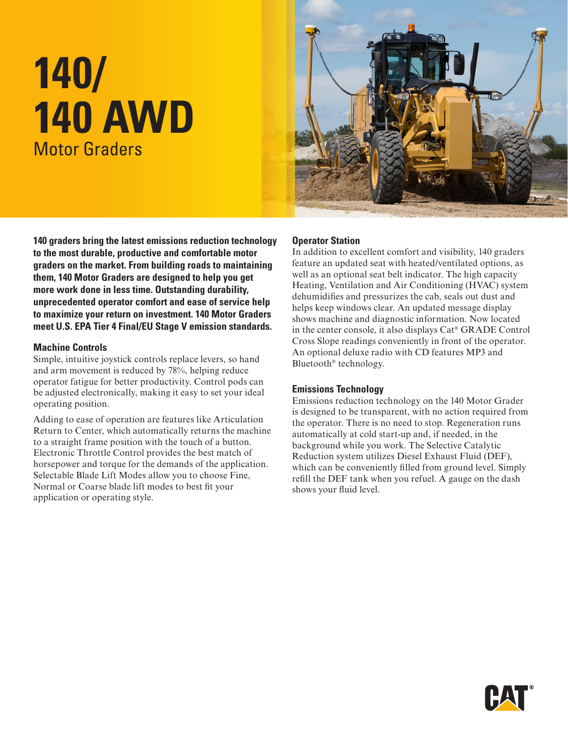# **140/ 140 AWD** Motor Graders



**140 graders bring the latest emissions reduction technology to the most durable, productive and comfortable motor graders on the market. From building roads to maintaining them, 140 Motor Graders are designed to help you get more work done in less time. Outstanding durability, unprecedented operator comfort and ease of service help to maximize your return on investment. 140 Motor Graders meet U.S. EPA Tier 4 Final/EU Stage V emission standards.**

#### **Machine Controls**

Simple, intuitive joystick controls replace levers, so hand and arm movement is reduced by 78%, helping reduce operator fatigue for better productivity. Control pods can be adjusted electronically, making it easy to set your ideal operating position.

Adding to ease of operation are features like Articulation Return to Center, which automatically returns the machine to a straight frame position with the touch of a button. Electronic Throttle Control provides the best match of horsepower and torque for the demands of the application. Selectable Blade Lift Modes allow you to choose Fine, Normal or Coarse blade lift modes to best fit your application or operating style.

#### **Operator Station**

In addition to excellent comfort and visibility, 140 graders feature an updated seat with heated/ventilated options, as well as an optional seat belt indicator. The high capacity Heating, Ventilation and Air Conditioning (HVAC) system dehumidifies and pressurizes the cab, seals out dust and helps keep windows clear. An updated message display shows machine and diagnostic information. Now located in the center console, it also displays Cat® GRADE Control Cross Slope readings conveniently in front of the operator. An optional deluxe radio with CD features MP3 and Bluetooth® technology.

#### **Emissions Technology**

Emissions reduction technology on the 140 Motor Grader is designed to be transparent, with no action required from the operator. There is no need to stop. Regeneration runs automatically at cold start-up and, if needed, in the background while you work. The Selective Catalytic Reduction system utilizes Diesel Exhaust Fluid (DEF), which can be conveniently filled from ground level. Simply refill the DEF tank when you refuel. A gauge on the dash shows your fluid level.

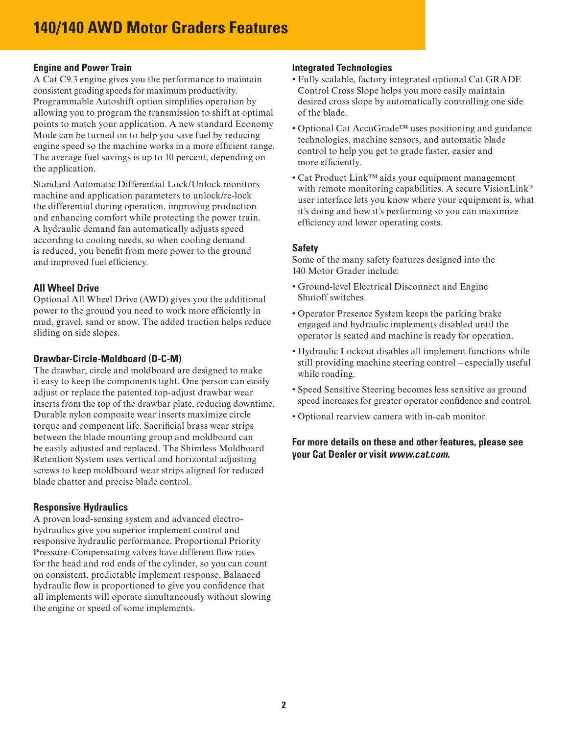# **Engine and Power Train**

A Cat C9.3 engine gives you the performance to maintain consistent grading speeds for maximum productivity. Programmable Autoshift option simplifies operation by allowing you to program the transmission to shift at optimal points to match your application. A new standard Economy Mode can be turned on to help you save fuel by reducing engine speed so the machine works in a more efficient range. The average fuel savings is up to 10 percent, depending on the application.

Standard Automatic Differential Lock/Unlock monitors machine and application parameters to unlock/re-lock the differential during operation, improving production and enhancing comfort while protecting the power train. A hydraulic demand fan automatically adjusts speed according to cooling needs, so when cooling demand is reduced, you benefit from more power to the ground and improved fuel efficiency.

# **All Wheel Drive**

Optional All Wheel Drive (AWD) gives you the additional power to the ground you need to work more efficiently in mud, gravel, sand or snow. The added traction helps reduce sliding on side slopes.

# **Drawbar-Circle-Moldboard (D-C-M)**

The drawbar, circle and moldboard are designed to make it easy to keep the components tight. One person can easily adjust or replace the patented top-adjust drawbar wear inserts from the top of the drawbar plate, reducing downtime. Durable nylon composite wear inserts maximize circle torque and component life. Sacrificial brass wear strips between the blade mounting group and moldboard can be easily adjusted and replaced. The Shimless Moldboard Retention System uses vertical and horizontal adjusting screws to keep moldboard wear strips aligned for reduced blade chatter and precise blade control.

# **Responsive Hydraulics**

A proven load-sensing system and advanced electrohydraulics give you superior implement control and responsive hydraulic performance. Proportional Priority Pressure-Compensating valves have different flow rates for the head and rod ends of the cylinder, so you can count on consistent, predictable implement response. Balanced hydraulic flow is proportioned to give you confidence that all implements will operate simultaneously without slowing the engine or speed of some implements.

# **Integrated Technologies**

- Fully scalable, factory integrated optional Cat GRADE Control Cross Slope helps you more easily maintain desired cross slope by automatically controlling one side of the blade.
- Optional Cat AccuGrade™ uses positioning and guidance technologies, machine sensors, and automatic blade control to help you get to grade faster, easier and more efficiently.
- Cat Product Link™ aids your equipment management with remote monitoring capabilities. A secure VisionLink® user interface lets you know where your equipment is, what it's doing and how it's performing so you can maximize efficiency and lower operating costs.

# **Safety**

Some of the many safety features designed into the 140 Motor Grader include:

- Ground-level Electrical Disconnect and Engine Shutoff switches.
- Operator Presence System keeps the parking brake engaged and hydraulic implements disabled until the operator is seated and machine is ready for operation.
- Hydraulic Lockout disables all implement functions while still providing machine steering control – especially useful while roading.
- Speed Sensitive Steering becomes less sensitive as ground speed increases for greater operator confidence and control.
- Optional rearview camera with in-cab monitor.

# **For more details on these and other features, please see your Cat Dealer or visit** *www.cat.com***.**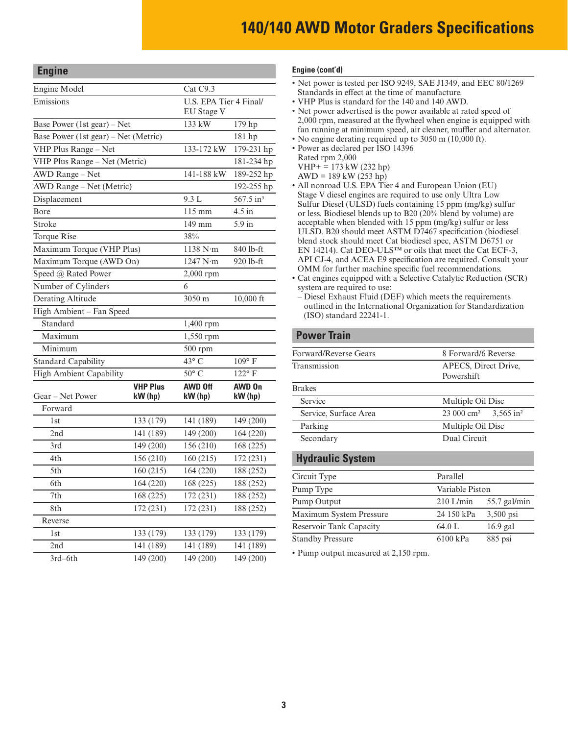| <b>Engine</b>                        |                            |                      |                               |  |
|--------------------------------------|----------------------------|----------------------|-------------------------------|--|
| Engine Model                         |                            | Cat C <sub>9.3</sub> |                               |  |
| Emissions                            |                            | EU Stage V           | <b>U.S. EPA Tier 4 Final/</b> |  |
| Base Power (1st gear) – Net          |                            | 133 kW               | 179 hp                        |  |
| Base Power (1st gear) – Net (Metric) |                            |                      | 181 hp                        |  |
| VHP Plus Range - Net                 |                            | 133-172 kW           | 179-231 hp                    |  |
| VHP Plus Range - Net (Metric)        |                            |                      | 181-234 hp                    |  |
| AWD Range - Net                      |                            | 141-188 kW           | 189-252 hp                    |  |
| AWD Range - Net (Metric)             |                            |                      | 192-255 hp                    |  |
| Displacement                         |                            | 9.3 L                | 567.5 in <sup>3</sup>         |  |
| Bore                                 |                            | $115 \text{ mm}$     | $4.5$ in                      |  |
| Stroke                               |                            | 149 mm               | $5.9$ in                      |  |
| Torque Rise                          |                            | 38%                  |                               |  |
| Maximum Torque (VHP Plus)            |                            | 1138 N·m             | 840 lb-ft                     |  |
| Maximum Torque (AWD On)              |                            | 1247 N·m             | 920 lb-ft                     |  |
| Speed @ Rated Power                  |                            | 2,000 rpm            |                               |  |
| Number of Cylinders                  |                            | 6                    |                               |  |
| <b>Derating Altitude</b>             |                            | 3050 m               | 10,000 ft                     |  |
| High Ambient - Fan Speed             |                            |                      |                               |  |
| Standard                             |                            | $1,400$ rpm          |                               |  |
| Maximum                              |                            | 1,550 rpm            |                               |  |
| Minimum                              |                            | $500$ rpm            |                               |  |
| <b>Standard Capability</b>           |                            | 43° C                | $109^{\circ}$ F               |  |
| <b>High Ambient Capability</b>       |                            | $50^{\circ}$ C       | $122^{\circ}$ F               |  |
| Gear – Net Power                     | <b>VHP Plus</b><br>kW (hp) | AWD Off<br>kW (hp)   | AWD On<br>kW (hp)             |  |
| Forward                              |                            |                      |                               |  |
| 1st                                  | 133 (179)                  | 141 (189)            | 149 (200)                     |  |
| 2nd                                  | 141 (189)                  | 149 (200)            | 164 (220)                     |  |
| 3rd                                  | 149 (200)                  | 156 (210)            | 168 (225)                     |  |
| 4th                                  | 156 (210)                  | 160 (215)            | 172 (231)                     |  |
| 5th                                  | 160 (215)                  | 164 (220)            | 188 (252)                     |  |
| 6th                                  | 164 (220)                  | 168 (225)            | 188 (252)                     |  |
| 7th                                  | 168 (225)                  | 172 (231)            | 188 (252)                     |  |
| 8th                                  | 172 (231)                  | 172 (231)            | 188 (252)                     |  |
| Reverse                              |                            |                      |                               |  |
| 1st                                  | 133 (179)                  | 133 (179)            | 133 (179)                     |  |
| 2nd                                  | 141 (189)                  | 141 (189)            | 141 (189)                     |  |
| 3rd-6th                              | 149 (200)                  | 149 (200)            | 149 (200)                     |  |

#### **Engine (cont'd)**

- Net power is tested per ISO 9249, SAE J1349, and EEC 80/1269 Standards in effect at the time of manufacture.
- VHP Plus is standard for the 140 and 140 AWD.
- Net power advertised is the power available at rated speed of 2,000 rpm, measured at the flywheel when engine is equipped with fan running at minimum speed, air cleaner, muffler and alternator.
- No engine derating required up to 3050 m (10,000 ft). • Power as declared per ISO 14396
- Rated rpm 2,000
- $VHP+ = 173 kW (232 hp)$
- $AWD = 189$  kW (253 hp)
- All nonroad U.S. EPA Tier 4 and European Union (EU) Stage V diesel engines are required to use only Ultra Low Sulfur Diesel (ULSD) fuels containing 15 ppm (mg/kg) sulfur or less. Biodiesel blends up to B20 (20% blend by volume) are acceptable when blended with 15 ppm (mg/kg) sulfur or less ULSD. B20 should meet ASTM D7467 specification (biodiesel blend stock should meet Cat biodiesel spec, ASTM D6751 or EN 14214). Cat DEO-ULS™ or oils that meet the Cat ECF-3, API CJ-4, and ACEA E9 specification are required. Consult your OMM for further machine specific fuel recommendations.
- Cat engines equipped with a Selective Catalytic Reduction (SCR) system are required to use:

#### **Power Train**

| Forward/Reverse Gears | 8 Forward/6 Reverse                               |
|-----------------------|---------------------------------------------------|
| Transmission          | APECS, Direct Drive,                              |
|                       | Powershift                                        |
| <b>Brakes</b>         |                                                   |
| Service               | Multiple Oil Disc                                 |
| Service, Surface Area | 23 000 cm <sup>2</sup><br>$3.565$ in <sup>2</sup> |
| Parking               | Multiple Oil Disc                                 |
| Secondary             | Dual Circuit                                      |
|                       |                                                   |

## **Hydraulic System**

| Circuit Type                   | Parallel        |                |
|--------------------------------|-----------------|----------------|
| Pump Type                      | Variable Piston |                |
| Pump Output                    | $210$ L/min     | $55.7$ gal/min |
| <b>Maximum System Pressure</b> | 24 150 kPa      | $3,500$ psi    |
| Reservoir Tank Capacity        | 64.0 L          | $16.9$ gal     |
| <b>Standby Pressure</b>        | 6100 kPa        | $885$ psi      |

• Pump output measured at 2,150 rpm.

<sup>–</sup> Diesel Exhaust Fluid (DEF) which meets the requirements outlined in the International Organization for Standardization (ISO) standard 22241-1.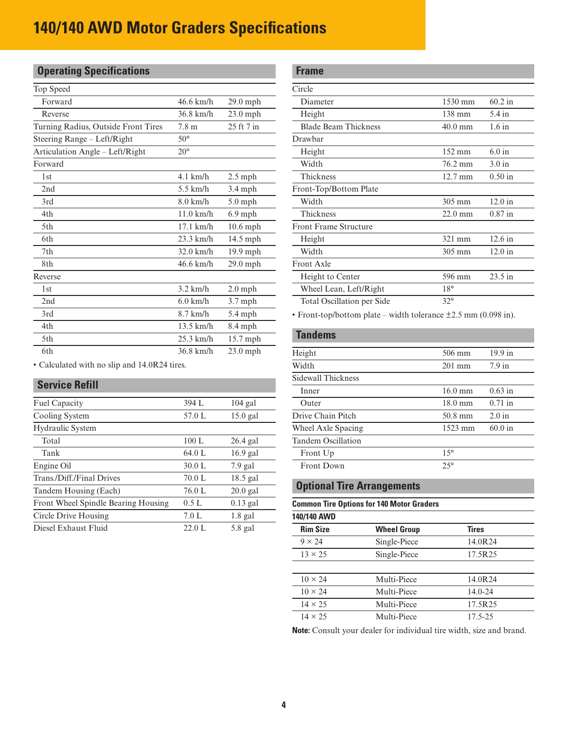| <b>Operating Specifications</b>     |                     |            |
|-------------------------------------|---------------------|------------|
| Top Speed                           |                     |            |
| Forward                             | $46.6 \text{ km/h}$ | $29.0$ mph |
| Reverse                             | $36.8$ km/h         | $23.0$ mph |
| Turning Radius, Outside Front Tires | 7.8 <sub>m</sub>    | 25 ft 7 in |
| Steering Range – Left/Right         | $50^\circ$          |            |
| Articulation Angle - Left/Right     | $20^{\circ}$        |            |
| Forward                             |                     |            |
| 1st                                 | $4.1$ km/h          | $2.5$ mph  |
| 2nd                                 | $5.5$ km/h          | $3.4$ mph  |
| 3rd                                 | 8.0 km/h            | $5.0$ mph  |
| 4th                                 | $11.0$ km/h         | $6.9$ mph  |
| 5th                                 | $17.1$ km/h         | $10.6$ mph |
| 6th                                 | $23.3$ km/h         | $14.5$ mph |
| 7th                                 | $32.0$ km/h         | 19.9 mph   |
| 8th                                 | 46.6 km/h           | 29.0 mph   |
| Reverse                             |                     |            |
| 1st                                 | $3.2$ km/h          | $2.0$ mph  |
| 2nd                                 | $6.0$ km/h          | $3.7$ mph  |
| 3rd                                 | $8.7$ km/h          | 5.4 mph    |
| 4th                                 | $13.5$ km/h         | $8.4$ mph  |
| 5th                                 | $25.3$ km/h         | 15.7 mph   |
| 6th                                 | $36.8$ km/h         | $23.0$ mph |

• Calculated with no slip and 14.0R24 tires.

# **Service Refill**

| Fuel Capacity                       | 394 L  | $104$ gal  |
|-------------------------------------|--------|------------|
| Cooling System                      | 57.0 L | $15.0$ gal |
| Hydraulic System                    |        |            |
| Total                               | 100 L  | $26.4$ gal |
| Tank                                | 64.0 L | $16.9$ gal |
| Engine Oil                          | 30.0 L | $7.9$ gal  |
| Trans./Diff./Final Drives           | 70.0 L | $18.5$ gal |
| Tandem Housing (Each)               | 76.0 L | $20.0$ gal |
| Front Wheel Spindle Bearing Housing | 0.5L   | $0.13$ gal |
| Circle Drive Housing                | 7.0 L  | $1.8$ gal  |
| Diesel Exhaust Fluid                | 22.0 L | $5.8$ gal  |

| <b>Frame</b>                 |                   |           |
|------------------------------|-------------------|-----------|
| Circle                       |                   |           |
| Diameter                     | 1530 mm           | $60.2$ in |
| Height                       | $138 \text{ mm}$  | $5.4$ in  |
| <b>Blade Beam Thickness</b>  | $40.0$ mm         | 1.6 in    |
| Drawbar                      |                   |           |
| Height                       | $152 \text{ mm}$  | 6.0 in    |
| Width                        | 76.2 mm           | 3.0 in    |
| Thickness                    | $12.7 \text{ mm}$ | $0.50$ in |
| Front-Top/Bottom Plate       |                   |           |
| Width                        | 305 mm            | $12.0$ in |
| Thickness                    | $22.0 \text{ mm}$ | $0.87$ in |
| <b>Front Frame Structure</b> |                   |           |
| Height                       | 321 mm            | 12.6 in   |
| Width                        | 305 mm            | $12.0$ in |
| Front Axle                   |                   |           |
| Height to Center             | 596 mm            | 23.5 in   |
| Wheel Lean, Left/Right       | $18^{\circ}$      |           |
| Total Oscillation per Side   | $32^{\circ}$      |           |
|                              |                   |           |

• Front-top/bottom plate – width tolerance ±2.5 mm (0.098 in).

# **Tandems** Height 506 mm 19.9 in Width 201 mm 7.9 in Sidewall Thickness Inner 16.0 mm 0.63 in Outer 18.0 mm 0.71 in Drive Chain Pitch 50.8 mm 2.0 in Wheel Axle Spacing 1523 mm 60.0 in Tandem Oscillation Front Up 15° Front Down 25°

## **Optional Tire Arrangements**

| <b>Common Tire Options for 140 Motor Graders</b><br>140/140 AWD |              |             |
|-----------------------------------------------------------------|--------------|-------------|
|                                                                 |              |             |
| $9 \times 24$                                                   | Single-Piece | 14.0R24     |
| $13 \times 25$                                                  | Single-Piece | 17.5R25     |
|                                                                 |              |             |
| $10 \times 24$                                                  | Multi-Piece  | 14.0R24     |
| $10 \times 24$                                                  | Multi-Piece  | $14.0 - 24$ |
| $14 \times 25$                                                  | Multi-Piece  | 17.5R25     |
| $14 \times 25$                                                  | Multi-Piece  | 17.5-25     |

**Note:** Consult your dealer for individual tire width, size and brand.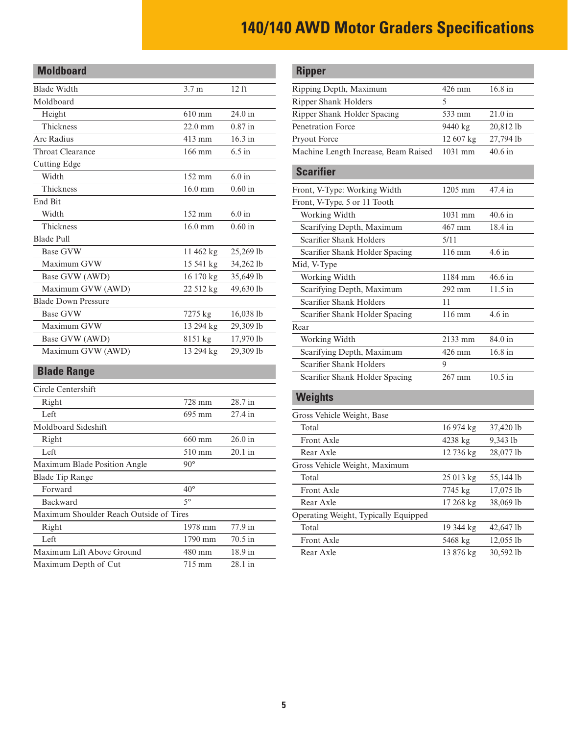| <b>Moldboard</b>           |                   |           |
|----------------------------|-------------------|-----------|
| <b>Blade Width</b>         | 3.7 <sub>m</sub>  | $12$ ft   |
| Moldboard                  |                   |           |
| Height                     | $610 \text{ mm}$  | 24.0 in   |
| Thickness                  | $22.0 \text{ mm}$ | $0.87$ in |
| Arc Radius                 | $413 \text{ mm}$  | $16.3$ in |
| Throat Clearance           | 166 mm            | $6.5$ in  |
| <b>Cutting Edge</b>        |                   |           |
| Width                      | 152 mm            | $6.0$ in  |
| Thickness                  | $16.0$ mm         | 0.60 in   |
| End Bit                    |                   |           |
| Width                      | $152 \text{ mm}$  | $6.0$ in  |
| Thickness                  | $16.0 \text{ mm}$ | 0.60 in   |
| <b>Blade Pull</b>          |                   |           |
| <b>Base GVW</b>            | 11 462 kg         | 25,269 lb |
| Maximum GVW                | 15 541 kg         | 34,262 lb |
| Base GVW (AWD)             | 16 170 kg         | 35,649 lb |
| Maximum GVW (AWD)          | 22 512 kg         | 49,630 lb |
| <b>Blade Down Pressure</b> |                   |           |
| <b>Base GVW</b>            | 7275 kg           | 16,038 lb |
| Maximum GVW                | 13 294 kg         | 29,309 lb |
| Base GVW (AWD)             | 8151 kg           | 17,970 lb |
| Maximum GVW (AWD)          | 13 294 kg         | 29,309 lb |
| <b>Blade Range</b>         |                   |           |

| Circle Centershift                      |                  |                   |
|-----------------------------------------|------------------|-------------------|
| Right                                   | 728 mm           | 28.7 in           |
| Left                                    | 695 mm           | $27.4$ in         |
| Moldboard Sideshift                     |                  |                   |
| Right                                   | $660 \text{ mm}$ | $26.0$ in         |
| Left                                    | $510 \text{ mm}$ | $20.1$ in         |
| Maximum Blade Position Angle            | $90^{\circ}$     |                   |
| <b>Blade Tip Range</b>                  |                  |                   |
| Forward                                 | $40^{\circ}$     |                   |
| Backward                                | $5^{\circ}$      |                   |
| Maximum Shoulder Reach Outside of Tires |                  |                   |
| Right                                   | 1978 mm          | 77.9 in           |
| Left                                    | 1790 mm          | $70.5$ in         |
| Maximum Lift Above Ground               | 480 mm           | $18.9 \text{ in}$ |
| Maximum Depth of Cut                    | 715 mm           | 28.1 in           |
|                                         |                  |                   |

| <b>Ripper</b>                        |           |           |
|--------------------------------------|-----------|-----------|
| Ripping Depth, Maximum               | 426 mm    | 16.8 in   |
| <b>Ripper Shank Holders</b>          | 5         |           |
| Ripper Shank Holder Spacing          | 533 mm    | 21.0 in   |
| Penetration Force                    | 9440 kg   | 20,812 lb |
| Pryout Force                         | 12 607 kg | 27,794 lb |
| Machine Length Increase, Beam Raised | 1031 mm   | $40.6$ in |
| <b>Scarifier</b>                     |           |           |
| Front, V-Type: Working Width         | 1205 mm   | 47.4 in   |
| Front, V-Type, 5 or 11 Tooth         |           |           |
| Working Width                        | 1031 mm   | 40.6 in   |
| Scarifying Depth, Maximum            | 467 mm    | 18.4 in   |
| <b>Scarifier Shank Holders</b>       | 5/11      |           |
| Scarifier Shank Holder Spacing       | 116 mm    | $4.6$ in  |
| Mid, V-Type                          |           |           |
| Working Width                        | 1184 mm   | 46.6 in   |
| Scarifying Depth, Maximum            | 292 mm    | $11.5$ in |
| <b>Scarifier Shank Holders</b>       | 11        |           |
| Scarifier Shank Holder Spacing       | 116 mm    | $4.6$ in  |
| Rear                                 |           |           |
| Working Width                        | 2133 mm   | 84.0 in   |
| Scarifying Depth, Maximum            | 426 mm    | 16.8 in   |
| Scarifier Shank Holders              | 9         |           |
| Scarifier Shank Holder Spacing       | 267 mm    | $10.5$ in |
| Weights                              |           |           |

| Gross Vehicle Weight, Base           |                    |             |
|--------------------------------------|--------------------|-------------|
| Total                                | $16974 \text{ kg}$ | 37,420 lb   |
| Front Axle                           | 4238 kg            | 9,343 lb    |
| Rear Axle                            | 12 736 kg          | 28,077 lb   |
| Gross Vehicle Weight, Maximum        |                    |             |
| Total                                | $25013 \text{ kg}$ | 55,144 lb   |
| Front Axle                           | 7745 kg            | 17,075 lb   |
| Rear Axle                            | $17268 \text{ kg}$ | 38,069 lb   |
| Operating Weight, Typically Equipped |                    |             |
| Total                                | 19 344 kg          | 42,647 lb   |
| Front Axle                           | 5468 kg            | $12,055$ lb |
| Rear Axle                            | 13876 kg           | $30,592$ lb |
|                                      |                    |             |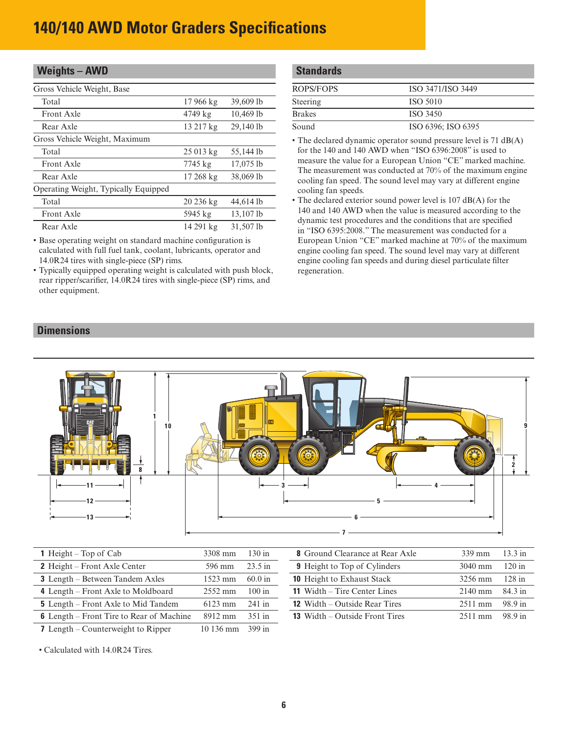| <b>Weights - AWD</b>                 |                    |           |
|--------------------------------------|--------------------|-----------|
| Gross Vehicle Weight, Base           |                    |           |
| Total                                | $17966 \text{ kg}$ | 39,609 lb |
| Front Axle                           | 4749 kg            | 10,469 lb |
| Rear Axle                            | 13 217 kg          | 29,140 lb |
| Gross Vehicle Weight, Maximum        |                    |           |
| Total                                | $25013 \text{ kg}$ | 55,144 lb |
| <b>Front Axle</b>                    | 7745 kg            | 17,075 lb |
| Rear Axle                            | $17268 \text{ kg}$ | 38,069 lb |
| Operating Weight, Typically Equipped |                    |           |
| Total                                | $20236 \text{ kg}$ | 44,614 lb |
| Front Axle                           | 5945 kg            | 13,107 lb |
| Rear Axle                            | 14 291 kg          | 31,507 lb |

• Base operating weight on standard machine configuration is calculated with full fuel tank, coolant, lubricants, operator and 14.0R24 tires with single-piece (SP) rims.

• Typically equipped operating weight is calculated with push block, rear ripper/scarifier, 14.0R24 tires with single-piece (SP) rims, and other equipment.

| <b>Standards</b> |                    |  |  |  |
|------------------|--------------------|--|--|--|
| <b>ROPS/FOPS</b> | ISO 3471/ISO 3449  |  |  |  |
| Steering         | <b>ISO 5010</b>    |  |  |  |
| <b>Brakes</b>    | ISO 3450           |  |  |  |
| Sound            | ISO 6396; ISO 6395 |  |  |  |

• The declared dynamic operator sound pressure level is 71 dB(A) for the 140 and 140 AWD when "ISO 6396:2008" is used to measure the value for a European Union "CE" marked machine. The measurement was conducted at 70% of the maximum engine cooling fan speed. The sound level may vary at different engine cooling fan speeds.

• The declared exterior sound power level is 107 dB(A) for the 140 and 140 AWD when the value is measured according to the dynamic test procedures and the conditions that are specified in "ISO 6395:2008." The measurement was conducted for a European Union "CE" marked machine at 70% of the maximum engine cooling fan speed. The sound level may vary at different engine cooling fan speeds and during diesel particulate filter regeneration.

#### **Dimensions**



| <b>1</b> Height – Top of Cab                    | 3308 mm            | $130$ in          | <b>8</b> Ground Clearance at Rear Axle | $339$ mm  | $13.3$ in |
|-------------------------------------------------|--------------------|-------------------|----------------------------------------|-----------|-----------|
| 2 Height – Front Axle Center                    | 596 mm             | $23.5 \text{ in}$ | <b>9</b> Height to Top of Cylinders    | $3040$ mm | $120$ in  |
| <b>3</b> Length – Between Tandem Axles          | 1523 mm            | $60.0$ in         | <b>10</b> Height to Exhaust Stack      | 3256 mm   | $128$ in  |
| 4 Length – Front Axle to Moldboard              | $2552 \text{ mm}$  | $100$ in          | <b>11</b> Width – Tire Center Lines    | $2140$ mm | 84.3 in   |
| <b>5</b> Length – Front Axle to Mid Tandem      | $6123$ mm          | $241$ in          | <b>12</b> Width – Outside Rear Tires   | $2511$ mm | 98.9 in   |
| <b>6</b> Length – Front Tire to Rear of Machine | 8912 mm            | $351$ in          | <b>13</b> Width – Outside Front Tires  | $2511$ mm | 98.9 in   |
| <b>7</b> Length – Counterweight to Ripper       | $10136 \text{ mm}$ | 399 in            |                                        |           |           |

• Calculated with 14.0R24 Tires.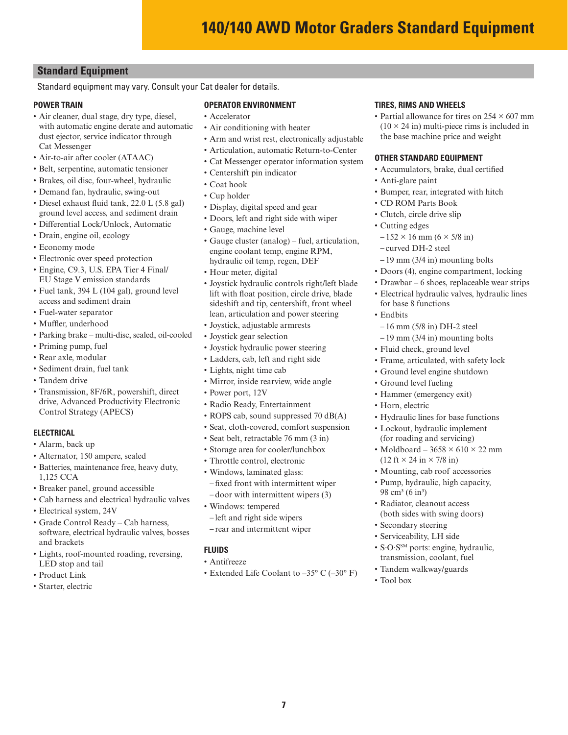# **Standard Equipment**

Standard equipment may vary. Consult your Cat dealer for details.

#### **POWER TRAIN**

- Air cleaner, dual stage, dry type, diesel, with automatic engine derate and automatic dust ejector, service indicator through Cat Messenger
- Air-to-air after cooler (ATAAC)
- Belt, serpentine, automatic tensioner
- Brakes, oil disc, four-wheel, hydraulic
- Demand fan, hydraulic, swing-out
- Diesel exhaust fluid tank, 22.0 L (5.8 gal) ground level access, and sediment drain
- Differential Lock/Unlock, Automatic
- Drain, engine oil, ecology
- Economy mode
- Electronic over speed protection
- Engine, C9.3, U.S. EPA Tier 4 Final/ EU Stage V emission standards
- Fuel tank, 394 L (104 gal), ground level access and sediment drain
- Fuel-water separator
- Muffler, underhood
- Parking brake multi-disc, sealed, oil-cooled
- Priming pump, fuel
- Rear axle, modular
- Sediment drain, fuel tank
- Tandem drive
- Transmission, 8F/6R, powershift, direct drive, Advanced Productivity Electronic Control Strategy (APECS)

#### **ELECTRICAL**

- Alarm, back up
- Alternator, 150 ampere, sealed
- Batteries, maintenance free, heavy duty, 1,125 CCA
- Breaker panel, ground accessible
- Cab harness and electrical hydraulic valves
- Electrical system, 24V
- Grade Control Ready Cab harness, software, electrical hydraulic valves, bosses and brackets
- Lights, roof-mounted roading, reversing, LED stop and tail
- Product Link
- Starter, electric

## **OPERATOR ENVIRONMENT**

- Accelerator
- Air conditioning with heater
- Arm and wrist rest, electronically adjustable
- Articulation, automatic Return-to-Center
- Cat Messenger operator information system
- Centershift pin indicator
- Coat hook
- Cup holder
- Display, digital speed and gear
- Doors, left and right side with wiper
- Gauge, machine level
- Gauge cluster (analog) fuel, articulation, engine coolant temp, engine RPM, hydraulic oil temp, regen, DEF
- Hour meter, digital
- Joystick hydraulic controls right/left blade lift with float position, circle drive, blade sideshift and tip, centershift, front wheel lean, articulation and power steering
- Joystick, adjustable armrests
- Joystick gear selection
- Joystick hydraulic power steering
- Ladders, cab, left and right side
- Lights, night time cab
- Mirror, inside rearview, wide angle
- Power port, 12V
- Radio Ready, Entertainment
- ROPS cab, sound suppressed 70 dB(A)
- Seat, cloth-covered, comfort suspension
- Seat belt, retractable 76 mm (3 in)
- Storage area for cooler/lunchbox
- Throttle control, electronic
- Windows, laminated glass: – fixed front with intermittent wiper – door with intermittent wipers (3)
- Windows: tempered
- left and right side wipers
- rear and intermittent wiper

#### **FLUIDS**

- Antifreeze
- Extended Life Coolant to  $-35^{\circ}$  C  $(-30^{\circ}$  F)

**7**

#### **TIRES, RIMS AND WHEELS**

• Partial allowance for tires on  $254 \times 607$  mm  $(10 \times 24 \text{ in})$  multi-piece rims is included in the base machine price and weight

#### **OTHER STANDARD EQUIPMENT**

- Accumulators, brake, dual certified
- Anti-glare paint
- Bumper, rear, integrated with hitch
- CD ROM Parts Book
- Clutch, circle drive slip
- Cutting edges
- $-152 \times 16$  mm  $(6 \times 5/8)$  in)
- curved DH-2 steel
- 19 mm (3/4 in) mounting bolts
- Doors (4), engine compartment, locking
- Drawbar 6 shoes, replaceable wear strips
- Electrical hydraulic valves, hydraulic lines for base 8 functions
- Endbits
	- 16 mm (5/8 in) DH-2 steel
- 19 mm (3/4 in) mounting bolts
- Fluid check, ground level
- Frame, articulated, with safety lock
- Ground level engine shutdown
- Ground level fueling
- Hammer (emergency exit)
- Horn, electric
- Hydraulic lines for base functions
- Lockout, hydraulic implement (for roading and servicing)
- Moldboard  $3658 \times 610 \times 22$  mm  $(12 \text{ ft} \times 24 \text{ in} \times 7/8 \text{ in})$
- Mounting, cab roof accessories
- Pump, hydraulic, high capacity, 98 cm<sup>3</sup> (6 in<sup>3</sup>)
- Radiator, cleanout access (both sides with swing doors)

• S·O·S<sup>SM</sup> ports: engine, hydraulic, transmission, coolant, fuel • Tandem walkway/guards

• Secondary steering • Serviceability, LH side

• Tool box